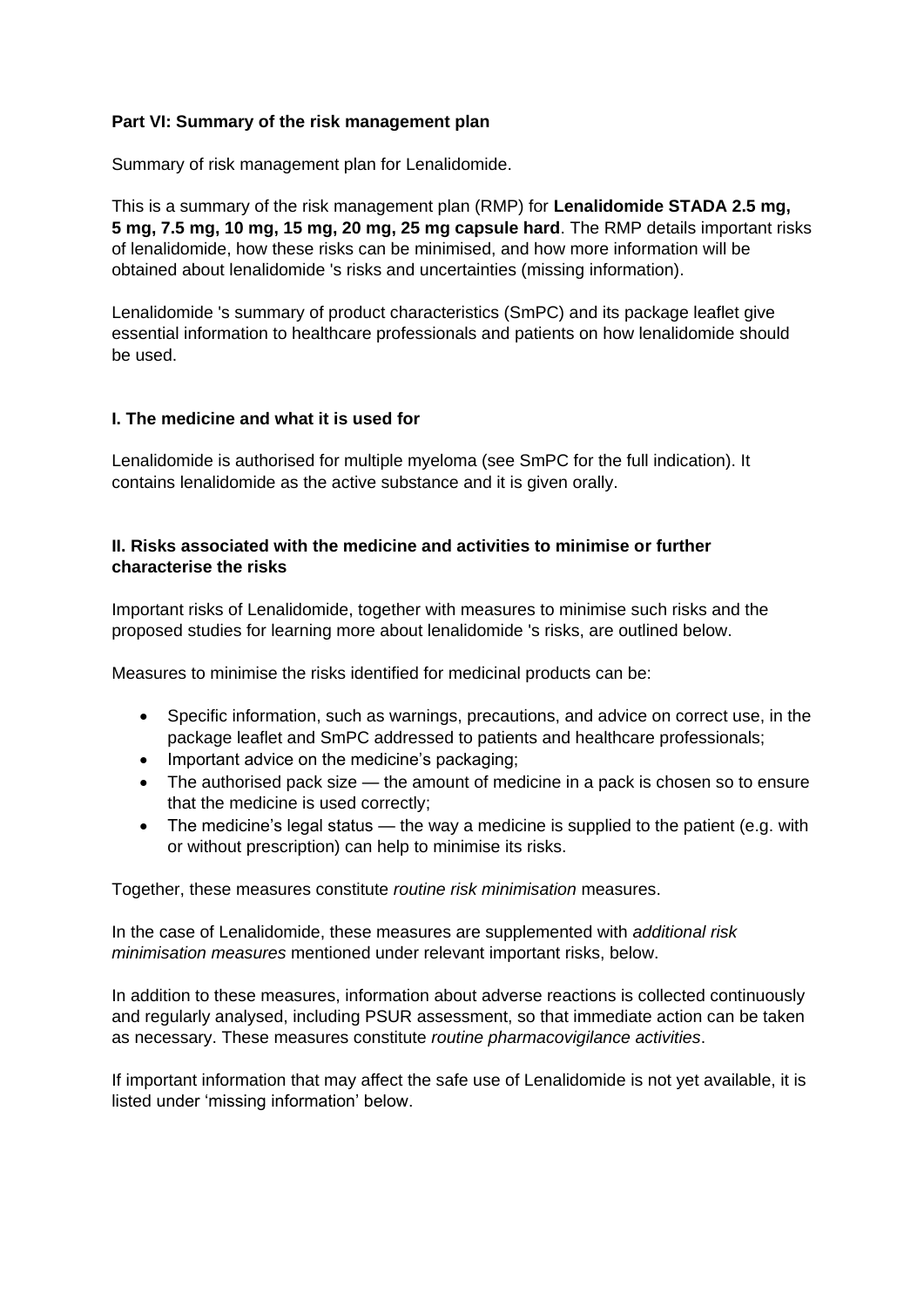### **Part VI: Summary of the risk management plan**

Summary of risk management plan for Lenalidomide.

This is a summary of the risk management plan (RMP) for **Lenalidomide STADA 2.5 mg, 5 mg, 7.5 mg, 10 mg, 15 mg, 20 mg, 25 mg capsule hard**. The RMP details important risks of lenalidomide, how these risks can be minimised, and how more information will be obtained about lenalidomide 's risks and uncertainties (missing information).

Lenalidomide 's summary of product characteristics (SmPC) and its package leaflet give essential information to healthcare professionals and patients on how lenalidomide should be used.

### **I. The medicine and what it is used for**

Lenalidomide is authorised for multiple myeloma (see SmPC for the full indication). It contains lenalidomide as the active substance and it is given orally.

### **II. Risks associated with the medicine and activities to minimise or further characterise the risks**

Important risks of Lenalidomide, together with measures to minimise such risks and the proposed studies for learning more about lenalidomide 's risks, are outlined below.

Measures to minimise the risks identified for medicinal products can be:

- Specific information, such as warnings, precautions, and advice on correct use, in the package leaflet and SmPC addressed to patients and healthcare professionals;
- Important advice on the medicine's packaging;
- The authorised pack size the amount of medicine in a pack is chosen so to ensure that the medicine is used correctly;
- The medicine's legal status the way a medicine is supplied to the patient (e.g. with or without prescription) can help to minimise its risks.

Together, these measures constitute *routine risk minimisation* measures.

In the case of Lenalidomide, these measures are supplemented with *additional risk minimisation measures* mentioned under relevant important risks, below.

In addition to these measures, information about adverse reactions is collected continuously and regularly analysed, including PSUR assessment, so that immediate action can be taken as necessary. These measures constitute *routine pharmacovigilance activities*.

If important information that may affect the safe use of Lenalidomide is not yet available, it is listed under 'missing information' below.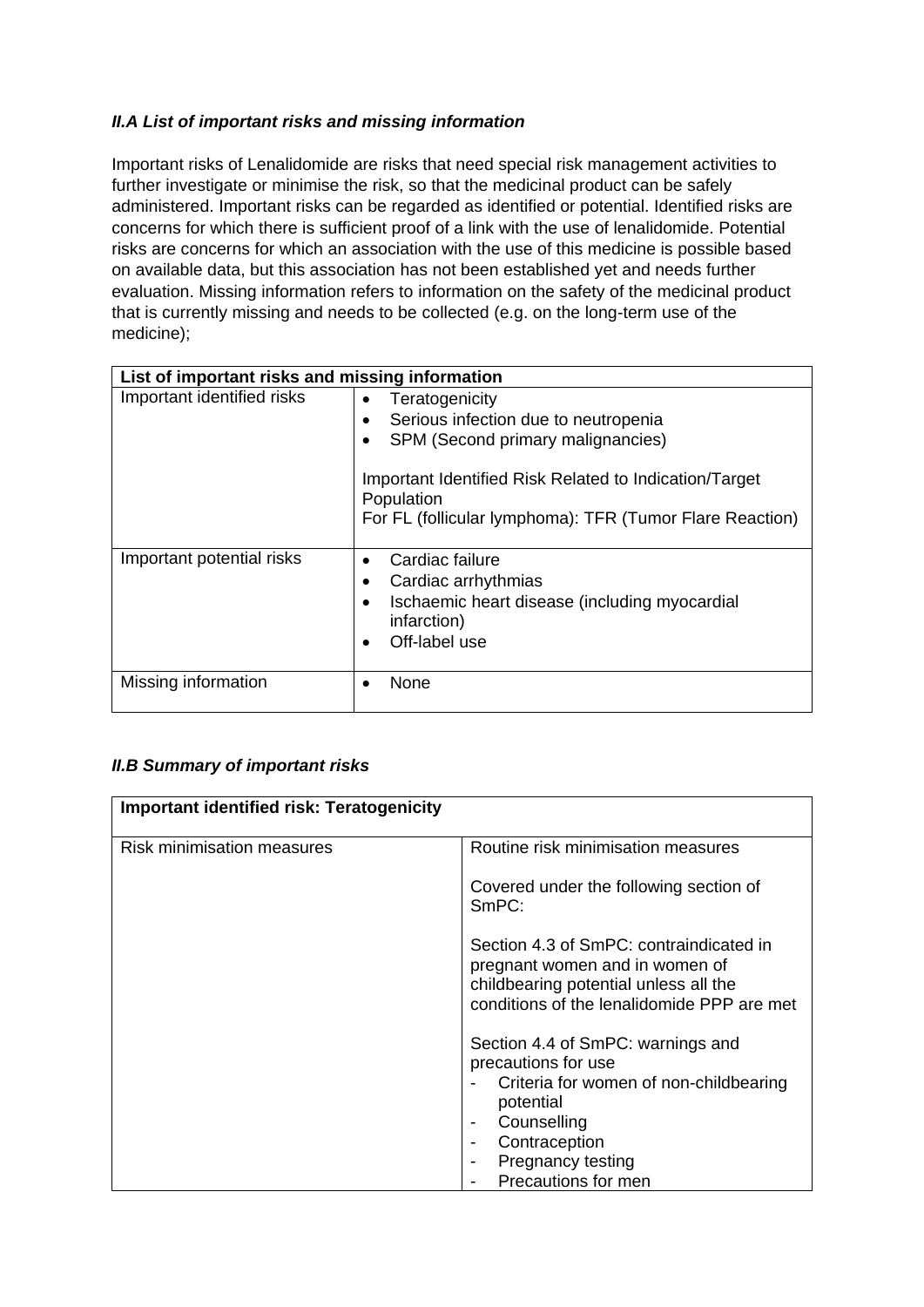## *II.A List of important risks and missing information*

Important risks of Lenalidomide are risks that need special risk management activities to further investigate or minimise the risk, so that the medicinal product can be safely administered. Important risks can be regarded as identified or potential. Identified risks are concerns for which there is sufficient proof of a link with the use of lenalidomide. Potential risks are concerns for which an association with the use of this medicine is possible based on available data, but this association has not been established yet and needs further evaluation. Missing information refers to information on the safety of the medicinal product that is currently missing and needs to be collected (e.g. on the long-term use of the medicine);

| List of important risks and missing information |                                                                                                                                                                                                                                 |  |
|-------------------------------------------------|---------------------------------------------------------------------------------------------------------------------------------------------------------------------------------------------------------------------------------|--|
| Important identified risks                      | Teratogenicity<br>Serious infection due to neutropenia<br>SPM (Second primary malignancies)<br>Important Identified Risk Related to Indication/Target<br>Population<br>For FL (follicular lymphoma): TFR (Tumor Flare Reaction) |  |
| Important potential risks                       | Cardiac failure<br>Cardiac arrhythmias<br>Ischaemic heart disease (including myocardial<br>infarction)<br>Off-label use                                                                                                         |  |
| Missing information                             | None                                                                                                                                                                                                                            |  |

## *II.B Summary of important risks*

| <b>Important identified risk: Teratogenicity</b> |                                                                                                                                                                      |
|--------------------------------------------------|----------------------------------------------------------------------------------------------------------------------------------------------------------------------|
| <b>Risk minimisation measures</b>                | Routine risk minimisation measures                                                                                                                                   |
|                                                  | Covered under the following section of<br>SmPC:                                                                                                                      |
|                                                  | Section 4.3 of SmPC: contraindicated in<br>pregnant women and in women of<br>childbearing potential unless all the<br>conditions of the lenalidomide PPP are met     |
|                                                  | Section 4.4 of SmPC: warnings and<br>precautions for use<br>Criteria for women of non-childbearing<br>potential<br>Counselling<br>Contraception<br>Pregnancy testing |
|                                                  | Precautions for men                                                                                                                                                  |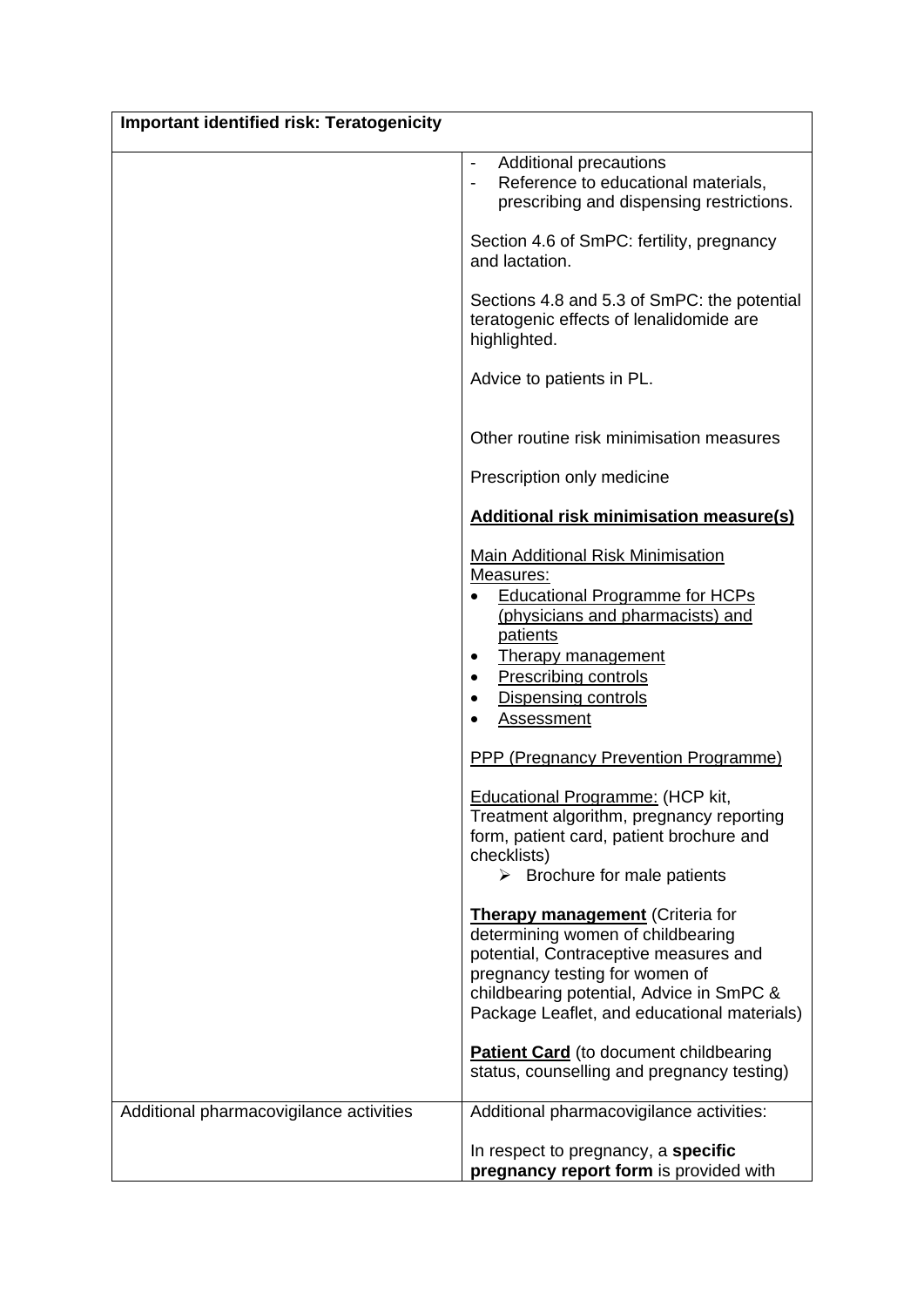| <b>Important identified risk: Teratogenicity</b> |                                                                                                                                                                                                                                                    |
|--------------------------------------------------|----------------------------------------------------------------------------------------------------------------------------------------------------------------------------------------------------------------------------------------------------|
|                                                  | <b>Additional precautions</b><br>Reference to educational materials,<br>$\overline{a}$<br>prescribing and dispensing restrictions.                                                                                                                 |
|                                                  | Section 4.6 of SmPC: fertility, pregnancy<br>and lactation.                                                                                                                                                                                        |
|                                                  | Sections 4.8 and 5.3 of SmPC: the potential<br>teratogenic effects of lenalidomide are<br>highlighted.                                                                                                                                             |
|                                                  | Advice to patients in PL.                                                                                                                                                                                                                          |
|                                                  | Other routine risk minimisation measures                                                                                                                                                                                                           |
|                                                  | Prescription only medicine                                                                                                                                                                                                                         |
|                                                  | <b>Additional risk minimisation measure(s)</b>                                                                                                                                                                                                     |
|                                                  | <b>Main Additional Risk Minimisation</b><br>Measures:<br><b>Educational Programme for HCPs</b><br>(physicians and pharmacists) and<br>patients<br><b>Therapy management</b><br><b>Prescribing controls</b><br>Dispensing controls<br>Assessment    |
|                                                  | PPP (Pregnancy Prevention Programme)                                                                                                                                                                                                               |
|                                                  | Educational Programme: (HCP kit,<br>Treatment algorithm, pregnancy reporting<br>form, patient card, patient brochure and<br>checklists)<br>$\triangleright$ Brochure for male patients                                                             |
|                                                  | <b>Therapy management</b> (Criteria for<br>determining women of childbearing<br>potential, Contraceptive measures and<br>pregnancy testing for women of<br>childbearing potential, Advice in SmPC &<br>Package Leaflet, and educational materials) |
|                                                  | <b>Patient Card</b> (to document childbearing<br>status, counselling and pregnancy testing)                                                                                                                                                        |
| Additional pharmacovigilance activities          | Additional pharmacovigilance activities:                                                                                                                                                                                                           |
|                                                  | In respect to pregnancy, a specific<br>pregnancy report form is provided with                                                                                                                                                                      |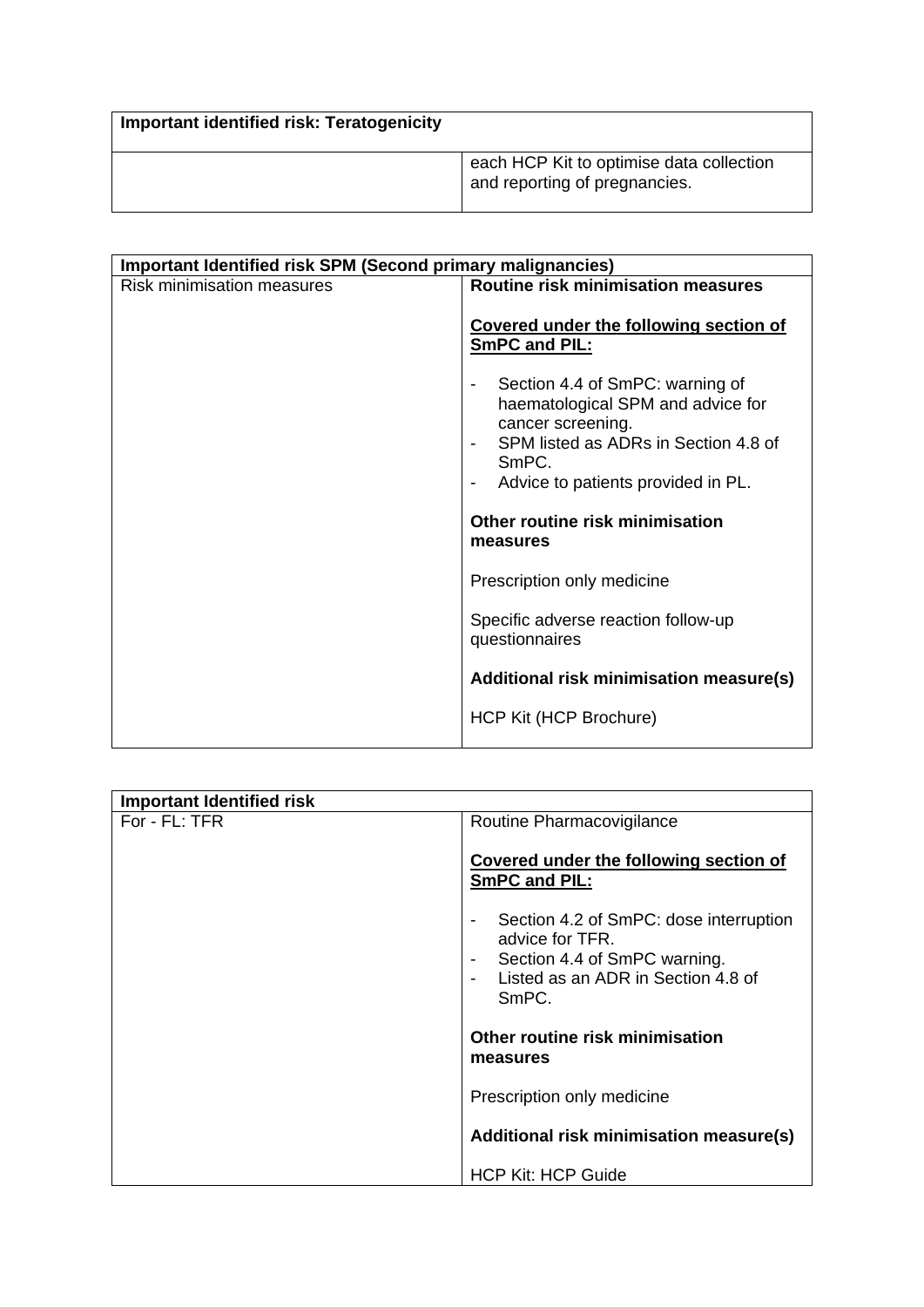| <b>Important identified risk: Teratogenicity</b> |                                                                           |
|--------------------------------------------------|---------------------------------------------------------------------------|
|                                                  | each HCP Kit to optimise data collection<br>and reporting of pregnancies. |

| Important Identified risk SPM (Second primary malignancies) |                                                           |
|-------------------------------------------------------------|-----------------------------------------------------------|
| <b>Risk minimisation measures</b>                           | <b>Routine risk minimisation measures</b>                 |
|                                                             | Covered under the following section of                    |
|                                                             | <b>SmPC and PIL:</b>                                      |
|                                                             | Section 4.4 of SmPC: warning of                           |
|                                                             | haematological SPM and advice for                         |
|                                                             | cancer screening.<br>SPM listed as ADRs in Section 4.8 of |
|                                                             | SmPC.                                                     |
|                                                             | Advice to patients provided in PL.                        |
|                                                             | Other routine risk minimisation                           |
|                                                             | measures                                                  |
|                                                             | Prescription only medicine                                |
|                                                             | Specific adverse reaction follow-up                       |
|                                                             | questionnaires                                            |
|                                                             | Additional risk minimisation measure(s)                   |
|                                                             | HCP Kit (HCP Brochure)                                    |
|                                                             |                                                           |

| <b>Important Identified risk</b> |                                                                                                                                          |
|----------------------------------|------------------------------------------------------------------------------------------------------------------------------------------|
| For - FL: TFR                    | Routine Pharmacovigilance                                                                                                                |
|                                  | Covered under the following section of<br>SmPC and PIL:                                                                                  |
|                                  | Section 4.2 of SmPC: dose interruption<br>advice for TFR.<br>Section 4.4 of SmPC warning.<br>Listed as an ADR in Section 4.8 of<br>SmPC. |
|                                  | Other routine risk minimisation<br>measures                                                                                              |
|                                  | Prescription only medicine                                                                                                               |
|                                  | Additional risk minimisation measure(s)                                                                                                  |
|                                  | <b>HCP Kit: HCP Guide</b>                                                                                                                |